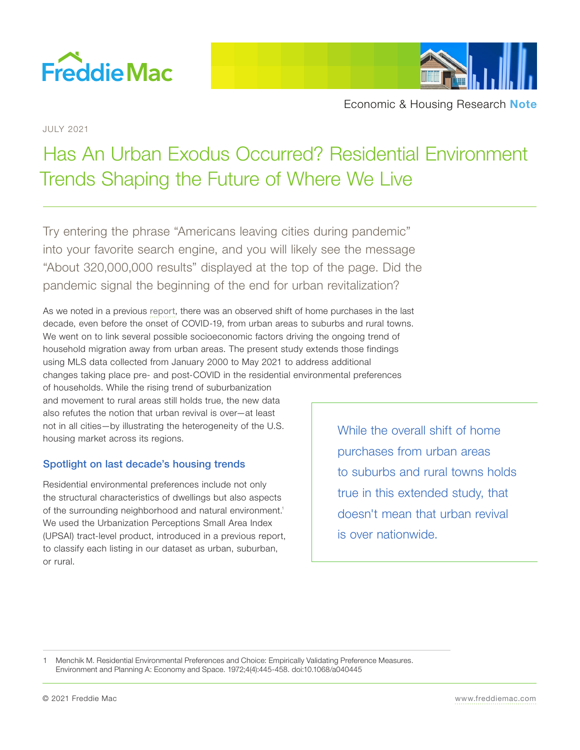



JULY 2021

# Has An Urban Exodus Occurred? Residential Environment Trends Shaping the Future of Where We Live

Try entering the phrase "Americans leaving cities during pandemic" into your favorite search engine, and you will likely see the message "About 320,000,000 results" displayed at the top of the page. Did the pandemic signal the beginning of the end for urban revitalization?

As we noted in a previous [report](http://www.freddiemac.com/research/insight/20210602_rural_home_purchases.page?), there was an observed shift of home purchases in the last decade, even before the onset of COVID-19, from urban areas to suburbs and rural towns. We went on to link several possible socioeconomic factors driving the ongoing trend of household migration away from urban areas. The present study extends those findings using MLS data collected from January 2000 to May 2021 to address additional changes taking place pre- and post-COVID in the residential environmental preferences

of households. While the rising trend of suburbanization and movement to rural areas still holds true, the new data also refutes the notion that urban revival is over—at least not in all cities—by illustrating the heterogeneity of the U.S. housing market across its regions.

# Spotlight on last decade's housing trends

Residential environmental preferences include not only the structural characteristics of dwellings but also aspects of the surrounding neighborhood and natural environment.<sup>1</sup> We used the Urbanization Perceptions Small Area Index (UPSAI) tract-level product, introduced in a previous report, to classify each listing in our dataset as urban, suburban, or rural.

While the overall shift of home purchases from urban areas to suburbs and rural towns holds true in this extended study, that doesn't mean that urban revival is over nationwide.

1 Menchik M. Residential Environmental Preferences and Choice: Empirically Validating Preference Measures. Environment and Planning A: Economy and Space. 1972;4(4):445-458. doi:10.1068/a040445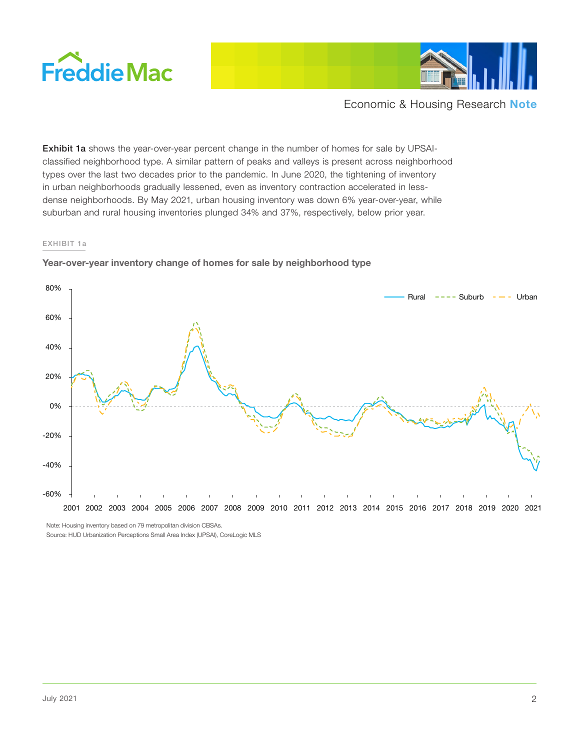



Exhibit 1a shows the year-over-year percent change in the number of homes for sale by UPSAIclassified neighborhood type. A similar pattern of peaks and valleys is present across neighborhood types over the last two decades prior to the pandemic. In June 2020, the tightening of inventory in urban neighborhoods gradually lessened, even as inventory contraction accelerated in lessdense neighborhoods. By May 2021, urban housing inventory was down 6% year-over-year, while suburban and rural housing inventories plunged 34% and 37%, respectively, below prior year.

#### EXHIBIT 1a



**Year-over-year inventory change of homes for sale by neighborhood type**

Note: Housing inventory based on 79 metropolitan division CBSAs.

Source: HUD Urbanization Perceptions Small Area Index (UPSAI), CoreLogic MLS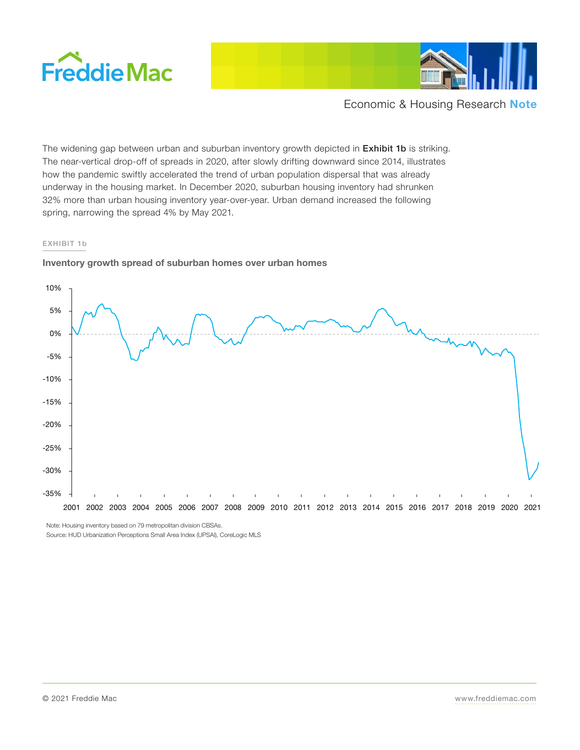



The widening gap between urban and suburban inventory growth depicted in Exhibit 1b is striking. The near-vertical drop-off of spreads in 2020, after slowly drifting downward since 2014, illustrates how the pandemic swiftly accelerated the trend of urban population dispersal that was already underway in the housing market. In December 2020, suburban housing inventory had shrunken 32% more than urban housing inventory year-over-year. Urban demand increased the following spring, narrowing the spread 4% by May 2021.

#### EXHIBIT 1b



## **Inventory growth spread of suburban homes over urban homes**

Note: Housing inventory based on 79 metropolitan division CBSAs. Source: HUD Urbanization Perceptions Small Area Index (UPSAI), CoreLogic MLS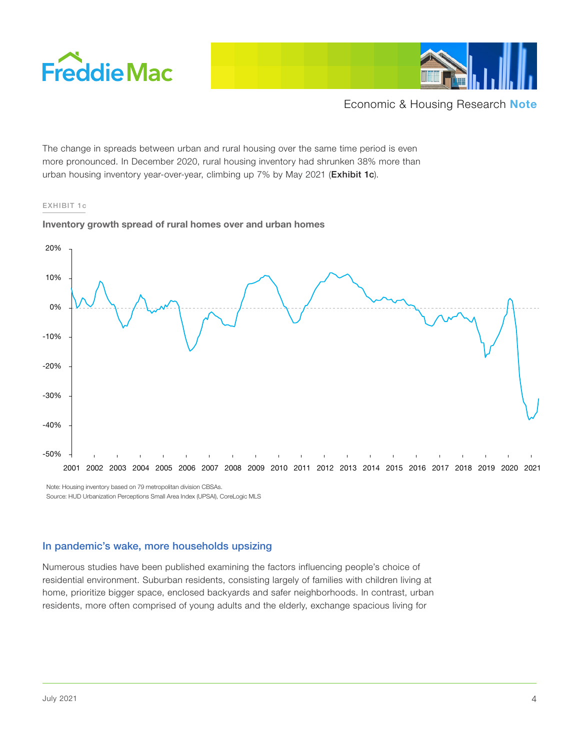



The change in spreads between urban and rural housing over the same time period is even more pronounced. In December 2020, rural housing inventory had shrunken 38% more than urban housing inventory year-over-year, climbing up 7% by May 2021 (Exhibit 1c).

#### EXHIBIT 1c

#### **Inventory growth spread of rural homes over and urban homes**



Note: Housing inventory based on 79 metropolitan division CBSAs. Source: HUD Urbanization Perceptions Small Area Index (UPSAI), CoreLogic MLS

## In pandemic's wake, more households upsizing

Numerous studies have been published examining the factors influencing people's choice of residential environment. Suburban residents, consisting largely of families with children living at home, prioritize bigger space, enclosed backyards and safer neighborhoods. In contrast, urban residents, more often comprised of young adults and the elderly, exchange spacious living for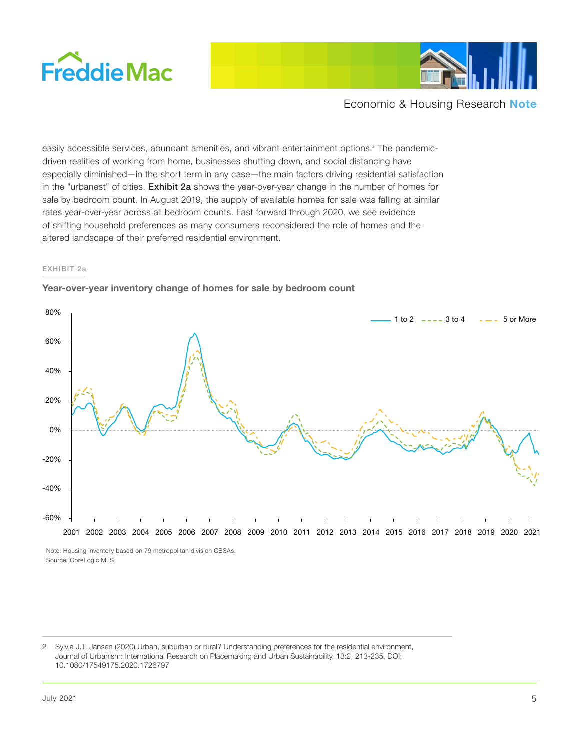



easily accessible services, abundant amenities, and vibrant entertainment options.<sup>2</sup> The pandemicdriven realities of working from home, businesses shutting down, and social distancing have especially diminished—in the short term in any case—the main factors driving residential satisfaction in the "urbanest" of cities. Exhibit 2a shows the year-over-year change in the number of homes for sale by bedroom count. In August 2019, the supply of available homes for sale was falling at similar rates year-over-year across all bedroom counts. Fast forward through 2020, we see evidence of shifting household preferences as many consumers reconsidered the role of homes and the altered landscape of their preferred residential environment.

#### EXHIBIT 2a



**Year-over-year inventory change of homes for sale by bedroom count**

Note: Housing inventory based on 79 metropolitan division CBSAs. Source: CoreLogic MLS

2 Sylvia J.T. Jansen (2020) Urban, suburban or rural? Understanding preferences for the residential environment, Journal of Urbanism: International Research on Placemaking and Urban Sustainability, 13:2, 213-235, DOI: 10.1080/17549175.2020.1726797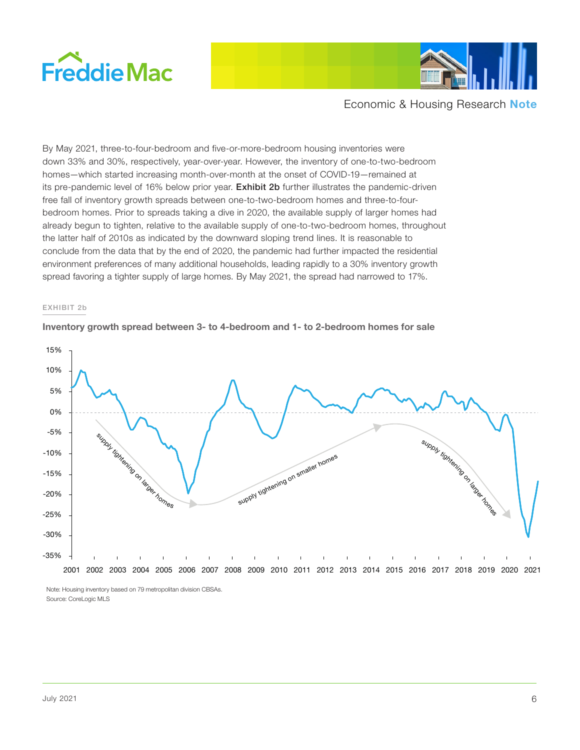



By May 2021, three-to-four-bedroom and five-or-more-bedroom housing inventories were down 33% and 30%, respectively, year-over-year. However, the inventory of one-to-two-bedroom homes—which started increasing month-over-month at the onset of COVID-19—remained at its pre-pandemic level of 16% below prior year. Exhibit 2b further illustrates the pandemic-driven free fall of inventory growth spreads between one-to-two-bedroom homes and three-to-fourbedroom homes. Prior to spreads taking a dive in 2020, the available supply of larger homes had already begun to tighten, relative to the available supply of one-to-two-bedroom homes, throughout the latter half of 2010s as indicated by the downward sloping trend lines. It is reasonable to conclude from the data that by the end of 2020, the pandemic had further impacted the residential environment preferences of many additional households, leading rapidly to a 30% inventory growth spread favoring a tighter supply of large homes. By May 2021, the spread had narrowed to 17%.

#### EXHIBIT 2b

## **Inventory growth spread between 3- to 4-bedroom and 1- to 2-bedroom homes for sale**



Note: Housing inventory based on 79 metropolitan division CBSAs. Source: CoreLogic MLS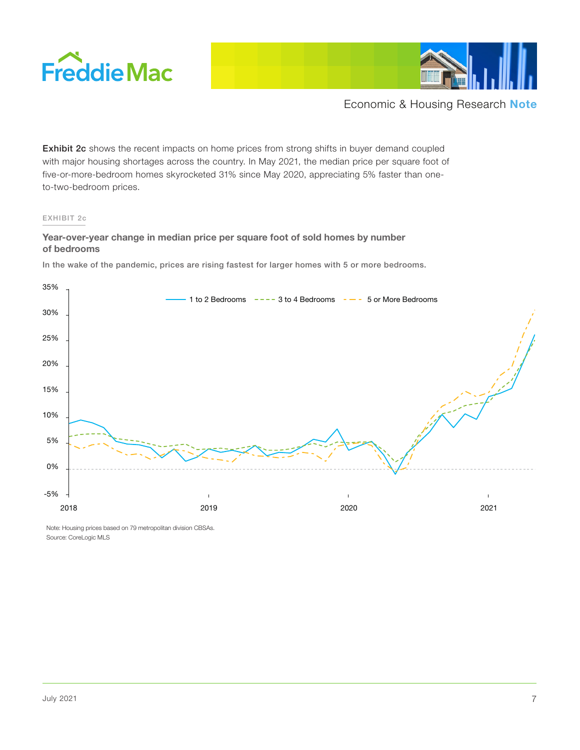



Exhibit 2c shows the recent impacts on home prices from strong shifts in buyer demand coupled with major housing shortages across the country. In May 2021, the median price per square foot of five-or-more-bedroom homes skyrocketed 31% since May 2020, appreciating 5% faster than oneto-two-bedroom prices.

## EXHIBIT 2c

## **Year-over-year change in median price per square foot of sold homes by number of bedrooms**

In the wake of the pandemic, prices are rising fastest for larger homes with 5 or more bedrooms.



Note: Housing prices based on 79 metropolitan division CBSAs. Source: CoreLogic MLS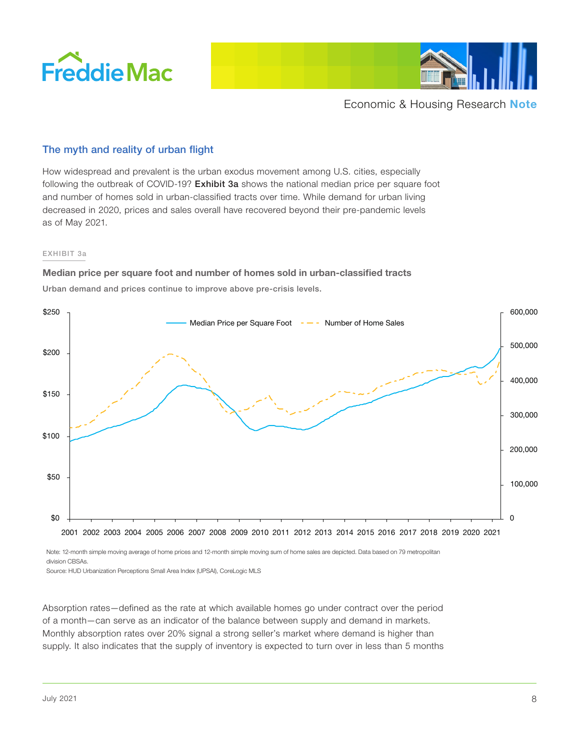



## The myth and reality of urban flight

How widespread and prevalent is the urban exodus movement among U.S. cities, especially following the outbreak of COVID-19? Exhibit 3a shows the national median price per square foot and number of homes sold in urban-classified tracts over time. While demand for urban living decreased in 2020, prices and sales overall have recovered beyond their pre-pandemic levels as of May 2021.

#### EXHIBIT 3a

## **Median price per square foot and number of homes sold in urban-classified tracts**



Urban demand and prices continue to improve above pre-crisis levels.

Note: 12-month simple moving average of home prices and 12-month simple moving sum of home sales are depicted. Data based on 79 metropolitan division CBSAs.

Source: HUD Urbanization Perceptions Small Area Index (UPSAI), CoreLogic MLS

Absorption rates—defined as the rate at which available homes go under contract over the period of a month—can serve as an indicator of the balance between supply and demand in markets. Monthly absorption rates over 20% signal a strong seller's market where demand is higher than supply. It also indicates that the supply of inventory is expected to turn over in less than 5 months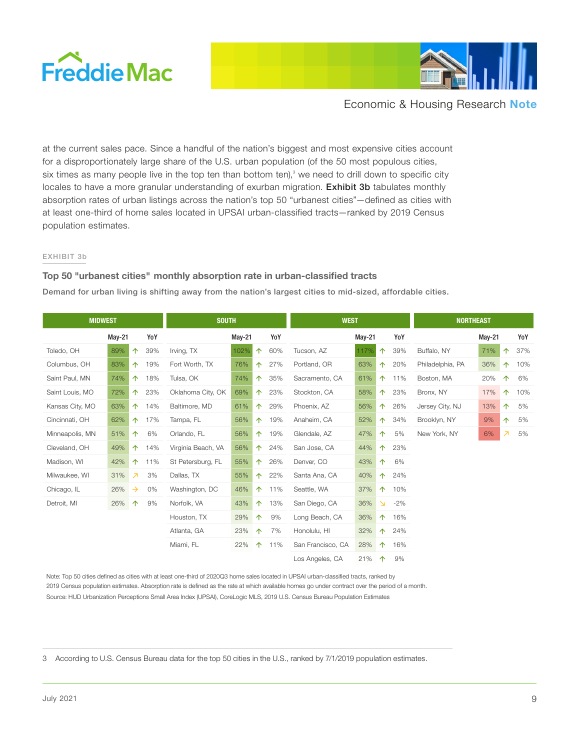



at the current sales pace. Since a handful of the nation's biggest and most expensive cities account for a disproportionately large share of the U.S. urban population (of the 50 most populous cities, six times as many people live in the top ten than bottom ten), $3$  we need to drill down to specific city locales to have a more granular understanding of exurban migration. Exhibit 3b tabulates monthly absorption rates of urban listings across the nation's top 50 "urbanest cities"—defined as cities with at least one-third of home sales located in UPSAI urban-classified tracts—ranked by 2019 Census population estimates.

#### EXHIBIT 3b

## **Top 50 "urbanest cities" monthly absorption rate in urban-classified tracts**

Demand for urban living is shifting away from the nation's largest cities to mid-sized, affordable cities.

| <b>MIDWEST</b>  |               |               | <b>SOUTH</b> |                    |      |   | <b>WEST</b> |                   |               |            | <b>NORTHEAST</b> |                  |     |                          |     |
|-----------------|---------------|---------------|--------------|--------------------|------|---|-------------|-------------------|---------------|------------|------------------|------------------|-----|--------------------------|-----|
|                 | <b>May-21</b> |               | YoY          | <b>May-21</b>      |      |   | YoY         |                   | <b>May-21</b> |            | YoY              | $May-21$         |     | YoY                      |     |
| Toledo, OH      | 89%           | $\uparrow$    | 39%          | Irving, TX         | 102% | 个 | 60%         | Tucson, AZ        | 117%          | 个          | 39%              | Buffalo, NY      | 71% | 个                        | 37% |
| Columbus, OH    | 83%           | 个             | 19%          | Fort Worth, TX     | 76%  | 个 | 27%         | Portland, OR      | 63%           | 个          | 20%              | Philadelphia, PA | 36% | 个                        | 10% |
| Saint Paul, MN  | 74%           | 个             | 18%          | Tulsa, OK          | 74%  | 个 | 35%         | Sacramento, CA    | 61%           | 个          | 11%              | Boston, MA       | 20% | 个                        | 6%  |
| Saint Louis, MO | 72%           | 个             | 23%          | Oklahoma City, OK  | 69%  | 个 | 23%         | Stockton, CA      | 58%           | $\uparrow$ | 23%              | Bronx, NY        | 17% | 个                        | 10% |
| Kansas City, MO | 63%           | 个             | 14%          | Baltimore, MD      | 61%  | 个 | 29%         | Phoenix, AZ       | 56%           | 个          | 26%              | Jersey City, NJ  | 13% | 个                        | 5%  |
| Cincinnati, OH  | 62%           | $\uparrow$    | 17%          | Tampa, FL          | 56%  | 个 | 19%         | Anaheim, CA       | 52%           | 个          | 34%              | Brooklyn, NY     | 9%  | 个                        | 5%  |
| Minneapolis, MN | 51%           | $\uparrow$    | 6%           | Orlando, FL        | 56%  | 个 | 19%         | Glendale, AZ      | 47%           | 个          | 5%               | New York, NY     | 6%  | $\overline{\phantom{a}}$ | 5%  |
| Cleveland, OH   | 49%           | 个             | 14%          | Virginia Beach, VA | 56%  | 个 | 24%         | San Jose, CA      | 44%           | 个          | 23%              |                  |     |                          |     |
| Madison, WI     | 42%           | 个             | 11%          | St Petersburg, FL  | 55%  | 个 | 26%         | Denver, CO        | 43%           | 个          | 6%               |                  |     |                          |     |
| Milwaukee, WI   | 31%           | Ζ             | 3%           | Dallas, TX         | 55%  | 个 | 22%         | Santa Ana, CA     | 40%           | 个          | 24%              |                  |     |                          |     |
| Chicago, IL     | 26%           | $\rightarrow$ | 0%           | Washington, DC     | 46%  |   | 个 11%       | Seattle, WA       | 37%           | 个          | 10%              |                  |     |                          |     |
| Detroit, MI     | 26%           | 个             | 9%           | Norfolk, VA        | 43%  | 个 | 13%         | San Diego, CA     | 36%           | N          | $-2%$            |                  |     |                          |     |
|                 |               |               |              | Houston, TX        | 29%  | 个 | 9%          | Long Beach, CA    | 36%           | 个          | 16%              |                  |     |                          |     |
|                 |               |               |              | Atlanta, GA        | 23%  | 个 | 7%          | Honolulu, HI      | 32%           | 个          | 24%              |                  |     |                          |     |
|                 |               |               |              | Miami, FL          | 22%  | 个 | 11%         | San Francisco, CA | 28%           | 个          | 16%              |                  |     |                          |     |
|                 |               |               |              |                    |      |   |             | Los Angeles, CA   | 21%           | $\uparrow$ | 9%               |                  |     |                          |     |

Note: Top 50 cities defined as cities with at least one-third of 2020Q3 home sales located in UPSAI urban-classified tracts, ranked by 2019 Census population estimates. Absorption rate is defined as the rate at which available homes go under contract over the period of a month. Source: HUD Urbanization Perceptions Small Area Index (UPSAI), CoreLogic MLS, 2019 U.S. Census Bureau Population Estimates

3 According to U.S. Census Bureau data for the top 50 cities in the U.S., ranked by 7/1/2019 population estimates.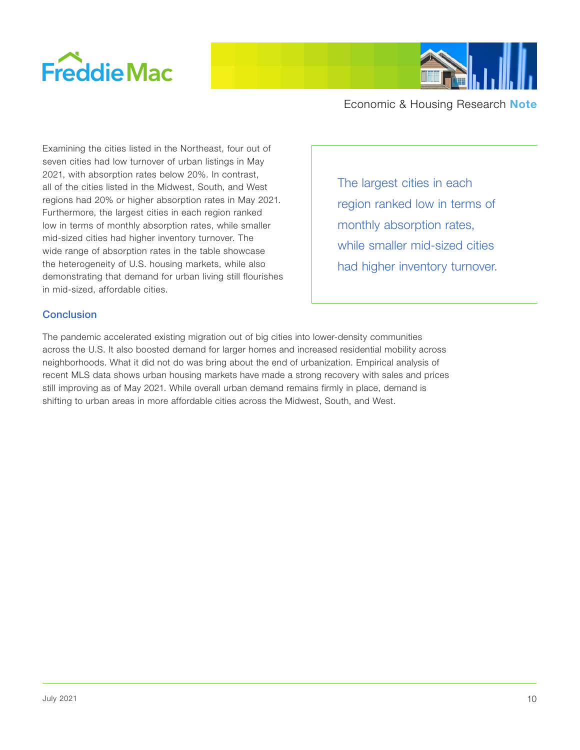



Examining the cities listed in the Northeast, four out of seven cities had low turnover of urban listings in May 2021, with absorption rates below 20%. In contrast, all of the cities listed in the Midwest, South, and West regions had 20% or higher absorption rates in May 2021. Furthermore, the largest cities in each region ranked low in terms of monthly absorption rates, while smaller mid-sized cities had higher inventory turnover. The wide range of absorption rates in the table showcase the heterogeneity of U.S. housing markets, while also demonstrating that demand for urban living still flourishes in mid-sized, affordable cities.

The largest cities in each region ranked low in terms of monthly absorption rates, while smaller mid-sized cities had higher inventory turnover.

## **Conclusion**

The pandemic accelerated existing migration out of big cities into lower-density communities across the U.S. It also boosted demand for larger homes and increased residential mobility across neighborhoods. What it did not do was bring about the end of urbanization. Empirical analysis of recent MLS data shows urban housing markets have made a strong recovery with sales and prices still improving as of May 2021. While overall urban demand remains firmly in place, demand is shifting to urban areas in more affordable cities across the Midwest, South, and West.